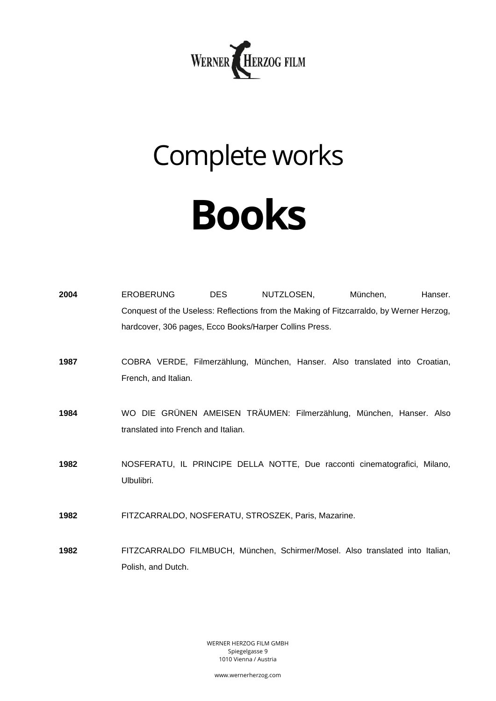

## Complete works **Books**

| 2004 | <b>EROBERUNG</b><br><b>DES</b><br>Conquest of the Useless: Reflections from the Making of Fitzcarraldo, by Werner Herzog,<br>hardcover, 306 pages, Ecco Books/Harper Collins Press. | NUTZLOSEN, | München,<br>Hanser. |
|------|-------------------------------------------------------------------------------------------------------------------------------------------------------------------------------------|------------|---------------------|
| 1987 | COBRA VERDE, Filmerzählung, München, Hanser. Also translated into Croatian,<br>French, and Italian.                                                                                 |            |                     |
| 1984 | WO DIE GRÜNEN AMEISEN TRÄUMEN: Filmerzählung, München, Hanser. Also<br>translated into French and Italian.                                                                          |            |                     |
| 1982 | NOSFERATU, IL PRINCIPE DELLA NOTTE, Due racconti cinematografici, Milano,<br>Ulbulibri.                                                                                             |            |                     |
| 1982 | FITZCARRALDO, NOSFERATU, STROSZEK, Paris, Mazarine.                                                                                                                                 |            |                     |
| 1982 | FITZCARRALDO FILMBUCH, München, Schirmer/Mosel. Also translated into Italian,<br>Polish, and Dutch.                                                                                 |            |                     |

WERNER HERZOG FILM GMBH Spiegelgasse 9 1010 Vienna / Austria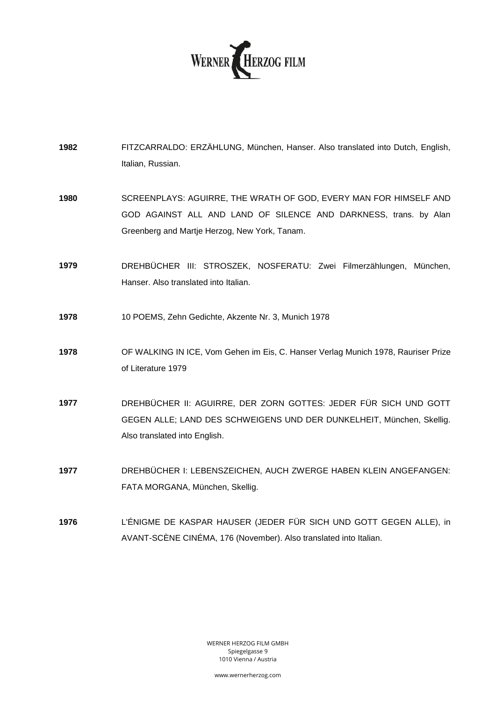

- **1982** FITZCARRALDO: ERZÄHLUNG, München, Hanser. Also translated into Dutch, English, Italian, Russian.
- **1980** SCREENPLAYS: AGUIRRE, THE WRATH OF GOD, EVERY MAN FOR HIMSELF AND GOD AGAINST ALL AND LAND OF SILENCE AND DARKNESS, trans. by Alan Greenberg and Martje Herzog, New York, Tanam.
- **1979** DREHBÜCHER III: STROSZEK, NOSFERATU: Zwei Filmerzählungen, München, Hanser. Also translated into Italian.
- **1978** 10 POEMS, Zehn Gedichte, Akzente Nr. 3, Munich 1978
- **1978** OF WALKING IN ICE, Vom Gehen im Eis, C. Hanser Verlag Munich 1978, Rauriser Prize of Literature 1979
- **1977** DREHBÜCHER II: AGUIRRE, DER ZORN GOTTES: JEDER FÜR SICH UND GOTT GEGEN ALLE; LAND DES SCHWEIGENS UND DER DUNKELHEIT, München, Skellig. Also translated into English.
- **1977** DREHBÜCHER I: LEBENSZEICHEN, AUCH ZWERGE HABEN KLEIN ANGEFANGEN: FATA MORGANA, München, Skellig.
- **1976** L'ÉNIGME DE KASPAR HAUSER (JEDER FÜR SICH UND GOTT GEGEN ALLE), in AVANT-SCÈNE CINÉMA, 176 (November). Also translated into Italian.

WERNER HERZOG FILM GMBH Spiegelgasse 9 1010 Vienna / Austria

www.wernerherzog.com